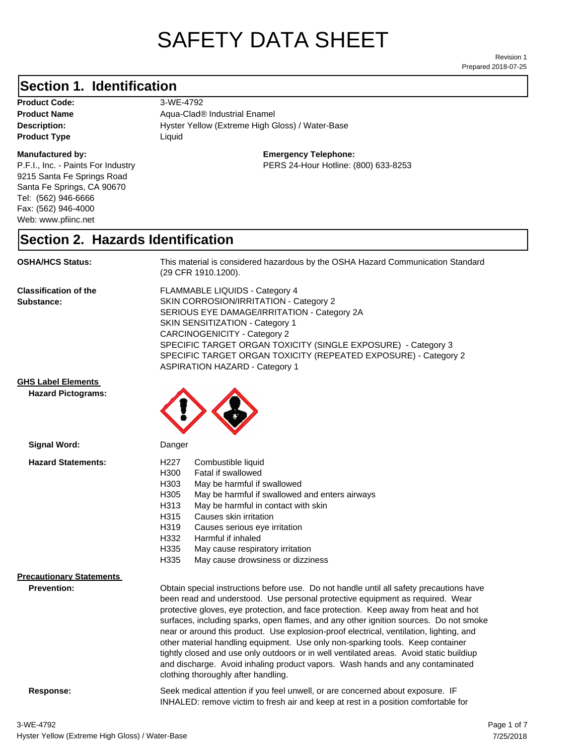# SAFETY DATA SHEET

Prepared 2018-07-25 Revision 1

#### **Section 1. Identification**

| <b>Product Code:</b> |
|----------------------|
| <b>Product Name</b>  |
| Description:         |
| <b>Product Type</b>  |

#### **Manufactured by:**

P.F.I., Inc. - Paints For Industry 9215 Santa Fe Springs Road Santa Fe Springs, CA 90670 Tel: (562) 946-6666 Fax: (562) 946-4000 Web: www.pfiinc.net

Hyster Yellow (Extreme High Gloss) / Water-Base **Product Code:** 3-WE-4792 **Product Name** Aqua-Clad® Industrial Enamel **Product Type** Liquid

#### **Emergency Telephone:**

PERS 24-Hour Hotline: (800) 633-8253

#### **Section 2. Hazards Identification**

**OSHA/HCS Status:** This material is considered hazardous by the OSHA Hazard Communication Standard (29 CFR 1910.1200).

**Classification of the Substance:**

FLAMMABLE LIQUIDS - Category 4 SKIN CORROSION/IRRITATION - Category 2 SERIOUS EYE DAMAGE/IRRITATION - Category 2A SKIN SENSITIZATION - Category 1 CARCINOGENICITY - Category 2 SPECIFIC TARGET ORGAN TOXICITY (SINGLE EXPOSURE) - Category 3 SPECIFIC TARGET ORGAN TOXICITY (REPEATED EXPOSURE) - Category 2 ASPIRATION HAZARD - Category 1

INHALED: remove victim to fresh air and keep at rest in a position comfortable for

**GHS Label Elements**

**Hazard Pictograms:**



| Signal Word:                                   | Danger                                                                                                                                                                                                                                                                                                                                                                                                                                                                                                                                                                                                                                                                                                                                                   |  |
|------------------------------------------------|----------------------------------------------------------------------------------------------------------------------------------------------------------------------------------------------------------------------------------------------------------------------------------------------------------------------------------------------------------------------------------------------------------------------------------------------------------------------------------------------------------------------------------------------------------------------------------------------------------------------------------------------------------------------------------------------------------------------------------------------------------|--|
| <b>Hazard Statements:</b>                      | Combustible liquid<br>H227<br>H300<br>Fatal if swallowed<br>H303<br>May be harmful if swallowed<br>H305<br>May be harmful if swallowed and enters airways<br>H313<br>May be harmful in contact with skin<br>H315<br>Causes skin irritation<br>H319<br>Causes serious eye irritation<br>H332<br>Harmful if inhaled<br>H335<br>May cause respiratory irritation<br>H335<br>May cause drowsiness or dizziness                                                                                                                                                                                                                                                                                                                                               |  |
| <b>Precautionary Statements</b><br>Prevention: | Obtain special instructions before use. Do not handle until all safety precautions have<br>been read and understood. Use personal protective equipment as required. Wear<br>protective gloves, eye protection, and face protection. Keep away from heat and hot<br>surfaces, including sparks, open flames, and any other ignition sources. Do not smoke<br>near or around this product. Use explosion-proof electrical, ventilation, lighting, and<br>other material handling equipment. Use only non-sparking tools. Keep container<br>tightly closed and use only outdoors or in well ventilated areas. Avoid static buildiup<br>and discharge. Avoid inhaling product vapors. Wash hands and any contaminated<br>clothing thoroughly after handling. |  |
| Response:                                      | Seek medical attention if you feel unwell, or are concerned about exposure. IF                                                                                                                                                                                                                                                                                                                                                                                                                                                                                                                                                                                                                                                                           |  |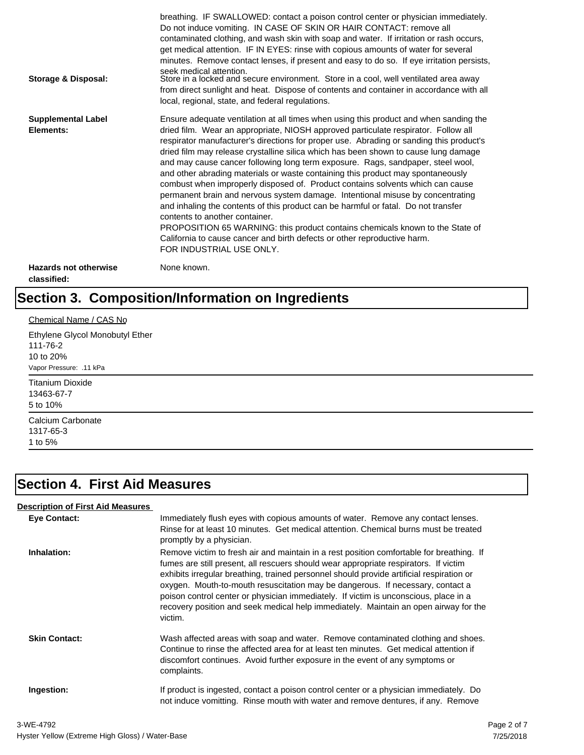| Storage & Disposal:                         | breathing. IF SWALLOWED: contact a poison control center or physician immediately.<br>Do not induce vomiting. IN CASE OF SKIN OR HAIR CONTACT: remove all<br>contaminated clothing, and wash skin with soap and water. If irritation or rash occurs,<br>get medical attention. IF IN EYES: rinse with copious amounts of water for several<br>minutes. Remove contact lenses, if present and easy to do so. If eye irritation persists,<br>seek medical attention.<br>Store in a locked and secure environment. Store in a cool, well ventilated area away<br>from direct sunlight and heat. Dispose of contents and container in accordance with all<br>local, regional, state, and federal regulations.                                                                                                                                                                                                                                                                                                                |
|---------------------------------------------|--------------------------------------------------------------------------------------------------------------------------------------------------------------------------------------------------------------------------------------------------------------------------------------------------------------------------------------------------------------------------------------------------------------------------------------------------------------------------------------------------------------------------------------------------------------------------------------------------------------------------------------------------------------------------------------------------------------------------------------------------------------------------------------------------------------------------------------------------------------------------------------------------------------------------------------------------------------------------------------------------------------------------|
| <b>Supplemental Label</b><br>Elements:      | Ensure adequate ventilation at all times when using this product and when sanding the<br>dried film. Wear an appropriate, NIOSH approved particulate respirator. Follow all<br>respirator manufacturer's directions for proper use. Abrading or sanding this product's<br>dried film may release crystalline silica which has been shown to cause lung damage<br>and may cause cancer following long term exposure. Rags, sandpaper, steel wool,<br>and other abrading materials or waste containing this product may spontaneously<br>combust when improperly disposed of. Product contains solvents which can cause<br>permanent brain and nervous system damage. Intentional misuse by concentrating<br>and inhaling the contents of this product can be harmful or fatal. Do not transfer<br>contents to another container.<br>PROPOSITION 65 WARNING: this product contains chemicals known to the State of<br>California to cause cancer and birth defects or other reproductive harm.<br>FOR INDUSTRIAL USE ONLY. |
| <b>Hazards not otherwise</b><br>classified: | None known.                                                                                                                                                                                                                                                                                                                                                                                                                                                                                                                                                                                                                                                                                                                                                                                                                                                                                                                                                                                                              |

# **Section 3. Composition/Information on Ingredients**

| Chemical Name / CAS No          |  |  |
|---------------------------------|--|--|
| Ethylene Glycol Monobutyl Ether |  |  |
| 111-76-2                        |  |  |
| 10 to 20%                       |  |  |
| Vapor Pressure: .11 kPa         |  |  |
| <b>Titanium Dioxide</b>         |  |  |
| 13463-67-7                      |  |  |
| 5 to 10%                        |  |  |
| Calcium Carbonate               |  |  |
| 1317-65-3                       |  |  |
| 1 to 5%                         |  |  |

## **Section 4. First Aid Measures**

#### **Description of First Aid Measures**

| <b>Eve Contact:</b>  | Immediately flush eyes with copious amounts of water. Remove any contact lenses.<br>Rinse for at least 10 minutes. Get medical attention. Chemical burns must be treated<br>promptly by a physician.                                                                                                                                                                                                                                                                                                                                                      |
|----------------------|-----------------------------------------------------------------------------------------------------------------------------------------------------------------------------------------------------------------------------------------------------------------------------------------------------------------------------------------------------------------------------------------------------------------------------------------------------------------------------------------------------------------------------------------------------------|
| Inhalation:          | Remove victim to fresh air and maintain in a rest position comfortable for breathing. If<br>fumes are still present, all rescuers should wear appropriate respirators. If victim<br>exhibits irregular breathing, trained personnel should provide artificial respiration or<br>oxygen. Mouth-to-mouth resuscitation may be dangerous. If necessary, contact a<br>poison control center or physician immediately. If victim is unconscious, place in a<br>recovery position and seek medical help immediately. Maintain an open airway for the<br>victim. |
| <b>Skin Contact:</b> | Wash affected areas with soap and water. Remove contaminated clothing and shoes.<br>Continue to rinse the affected area for at least ten minutes. Get medical attention if<br>discomfort continues. Avoid further exposure in the event of any symptoms or<br>complaints.                                                                                                                                                                                                                                                                                 |
| Ingestion:           | If product is ingested, contact a poison control center or a physician immediately. Do<br>not induce vomitting. Rinse mouth with water and remove dentures, if any. Remove                                                                                                                                                                                                                                                                                                                                                                                |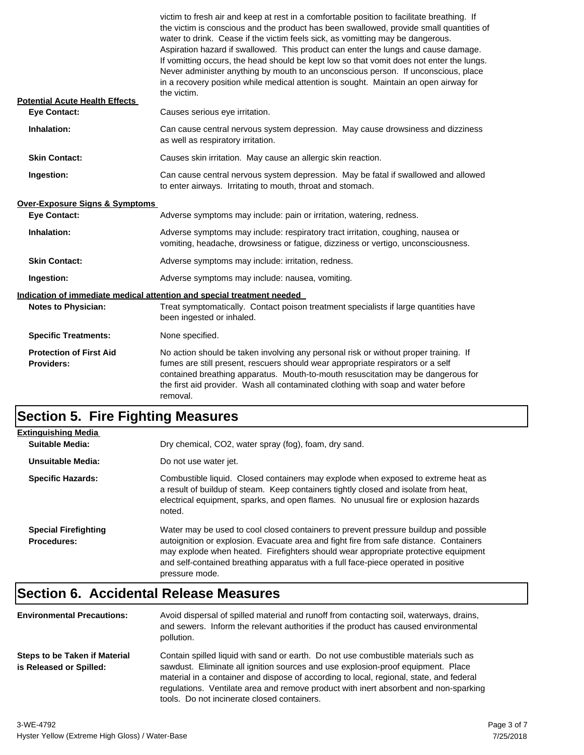| <b>Potential Acute Health Effects</b>        | victim to fresh air and keep at rest in a comfortable position to facilitate breathing. If<br>the victim is conscious and the product has been swallowed, provide small quantities of<br>water to drink. Cease if the victim feels sick, as vomitting may be dangerous.<br>Aspiration hazard if swallowed. This product can enter the lungs and cause damage.<br>If vomitting occurs, the head should be kept low so that vomit does not enter the lungs.<br>Never administer anything by mouth to an unconscious person. If unconscious, place<br>in a recovery position while medical attention is sought. Maintain an open airway for<br>the victim. |  |
|----------------------------------------------|---------------------------------------------------------------------------------------------------------------------------------------------------------------------------------------------------------------------------------------------------------------------------------------------------------------------------------------------------------------------------------------------------------------------------------------------------------------------------------------------------------------------------------------------------------------------------------------------------------------------------------------------------------|--|
| <b>Eve Contact:</b>                          | Causes serious eye irritation.                                                                                                                                                                                                                                                                                                                                                                                                                                                                                                                                                                                                                          |  |
| Inhalation:                                  | Can cause central nervous system depression. May cause drowsiness and dizziness<br>as well as respiratory irritation.                                                                                                                                                                                                                                                                                                                                                                                                                                                                                                                                   |  |
| <b>Skin Contact:</b>                         | Causes skin irritation. May cause an allergic skin reaction.                                                                                                                                                                                                                                                                                                                                                                                                                                                                                                                                                                                            |  |
| Ingestion:                                   | Can cause central nervous system depression. May be fatal if swallowed and allowed<br>to enter airways. Irritating to mouth, throat and stomach.                                                                                                                                                                                                                                                                                                                                                                                                                                                                                                        |  |
| <b>Over-Exposure Signs &amp; Symptoms</b>    |                                                                                                                                                                                                                                                                                                                                                                                                                                                                                                                                                                                                                                                         |  |
| <b>Eye Contact:</b>                          | Adverse symptoms may include: pain or irritation, watering, redness.                                                                                                                                                                                                                                                                                                                                                                                                                                                                                                                                                                                    |  |
| Inhalation:                                  | Adverse symptoms may include: respiratory tract irritation, coughing, nausea or<br>vomiting, headache, drowsiness or fatigue, dizziness or vertigo, unconsciousness.                                                                                                                                                                                                                                                                                                                                                                                                                                                                                    |  |
| <b>Skin Contact:</b>                         | Adverse symptoms may include: irritation, redness.                                                                                                                                                                                                                                                                                                                                                                                                                                                                                                                                                                                                      |  |
| Ingestion:                                   | Adverse symptoms may include: nausea, vomiting.                                                                                                                                                                                                                                                                                                                                                                                                                                                                                                                                                                                                         |  |
|                                              | Indication of immediate medical attention and special treatment needed                                                                                                                                                                                                                                                                                                                                                                                                                                                                                                                                                                                  |  |
| <b>Notes to Physician:</b>                   | Treat symptomatically. Contact poison treatment specialists if large quantities have<br>been ingested or inhaled.                                                                                                                                                                                                                                                                                                                                                                                                                                                                                                                                       |  |
| <b>Specific Treatments:</b>                  | None specified.                                                                                                                                                                                                                                                                                                                                                                                                                                                                                                                                                                                                                                         |  |
| <b>Protection of First Aid</b><br>Providers: | No action should be taken involving any personal risk or without proper training. If<br>fumes are still present, rescuers should wear appropriate respirators or a self<br>contained breathing apparatus. Mouth-to-mouth resuscitation may be dangerous for<br>the first aid provider. Wash all contaminated clothing with soap and water before<br>removal.                                                                                                                                                                                                                                                                                            |  |

## **Section 5. Fire Fighting Measures**

| <b>Extinguishing Media</b>                        |                                                                                                                                                                                                                                                                                                                                                                              |
|---------------------------------------------------|------------------------------------------------------------------------------------------------------------------------------------------------------------------------------------------------------------------------------------------------------------------------------------------------------------------------------------------------------------------------------|
| Suitable Media:                                   | Dry chemical, CO2, water spray (fog), foam, dry sand.                                                                                                                                                                                                                                                                                                                        |
| Unsuitable Media:                                 | Do not use water jet.                                                                                                                                                                                                                                                                                                                                                        |
| <b>Specific Hazards:</b>                          | Combustible liquid. Closed containers may explode when exposed to extreme heat as<br>a result of buildup of steam. Keep containers tightly closed and isolate from heat,<br>electrical equipment, sparks, and open flames. No unusual fire or explosion hazards<br>noted.                                                                                                    |
| <b>Special Firefighting</b><br><b>Procedures:</b> | Water may be used to cool closed containers to prevent pressure buildup and possible<br>autoignition or explosion. Evacuate area and fight fire from safe distance. Containers<br>may explode when heated. Firefighters should wear appropriate protective equipment<br>and self-contained breathing apparatus with a full face-piece operated in positive<br>pressure mode. |

# **Section 6. Accidental Release Measures**

| <b>Environmental Precautions:</b>                        | Avoid dispersal of spilled material and runoff from contacting soil, waterways, drains,<br>and sewers. Inform the relevant authorities if the product has caused environmental<br>pollution.                                                                                                                                                                                                              |
|----------------------------------------------------------|-----------------------------------------------------------------------------------------------------------------------------------------------------------------------------------------------------------------------------------------------------------------------------------------------------------------------------------------------------------------------------------------------------------|
| Steps to be Taken if Material<br>is Released or Spilled: | Contain spilled liquid with sand or earth. Do not use combustible materials such as<br>sawdust. Eliminate all ignition sources and use explosion-proof equipment. Place<br>material in a container and dispose of according to local, regional, state, and federal<br>regulations. Ventilate area and remove product with inert absorbent and non-sparking<br>tools. Do not incinerate closed containers. |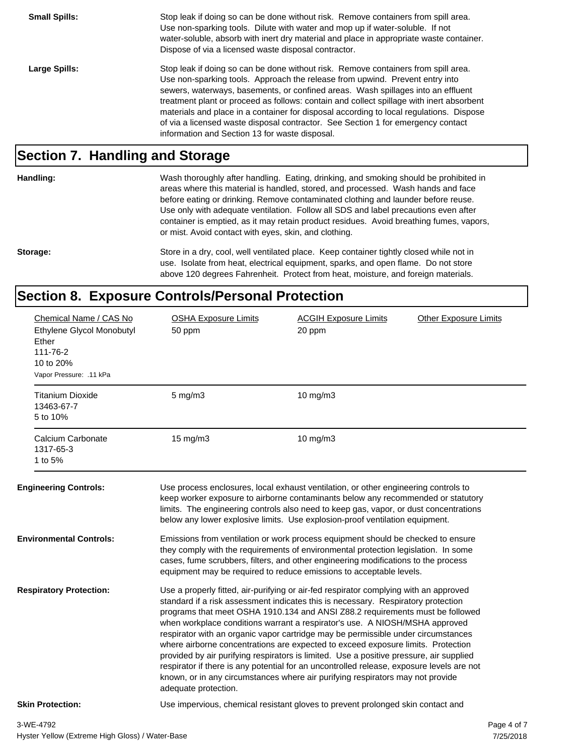**Small Spills:** Stop leak if doing so can be done without risk. Remove containers from spill area. Use non-sparking tools. Dilute with water and mop up if water-soluble. If not water-soluble, absorb with inert dry material and place in appropriate waste container. Dispose of via a licensed waste disposal contractor. Large Spills: Stop leak if doing so can be done without risk. Remove containers from spill area. Use non-sparking tools. Approach the release from upwind. Prevent entry into sewers, waterways, basements, or confined areas. Wash spillages into an effluent treatment plant or proceed as follows: contain and collect spillage with inert absorbent materials and place in a container for disposal according to local regulations. Dispose of via a licensed waste disposal contractor. See Section 1 for emergency contact information and Section 13 for waste disposal.

#### **Section 7. Handling and Storage**

**Handling:** Wash thoroughly after handling. Eating, drinking, and smoking should be prohibited in

areas where this material is handled, stored, and processed. Wash hands and face before eating or drinking. Remove contaminated clothing and launder before reuse. Use only with adequate ventilation. Follow all SDS and label precautions even after container is emptied, as it may retain product residues. Avoid breathing fumes, vapors, or mist. Avoid contact with eyes, skin, and clothing.

Storage: Store in a dry, cool, well ventilated place. Keep container tightly closed while not in use. Isolate from heat, electrical equipment, sparks, and open flame. Do not store above 120 degrees Fahrenheit. Protect from heat, moisture, and foreign materials.

#### **Section 8. Exposure Controls/Personal Protection**

| Chemical Name / CAS No<br>Ethylene Glycol Monobutyl<br>Ether | <b>OSHA Exposure Limits</b><br>50 ppm                                                                                                                                                                                                                                                                                                                                                                                                                                                                                                                                                                                                                                                                                                                                                                                 | <b>ACGIH Exposure Limits</b><br>20 ppm                                                                                                                                                                                                                                                                                                           | <b>Other Exposure Limits</b> |  |
|--------------------------------------------------------------|-----------------------------------------------------------------------------------------------------------------------------------------------------------------------------------------------------------------------------------------------------------------------------------------------------------------------------------------------------------------------------------------------------------------------------------------------------------------------------------------------------------------------------------------------------------------------------------------------------------------------------------------------------------------------------------------------------------------------------------------------------------------------------------------------------------------------|--------------------------------------------------------------------------------------------------------------------------------------------------------------------------------------------------------------------------------------------------------------------------------------------------------------------------------------------------|------------------------------|--|
| 111-76-2<br>10 to 20%<br>Vapor Pressure: .11 kPa             |                                                                                                                                                                                                                                                                                                                                                                                                                                                                                                                                                                                                                                                                                                                                                                                                                       |                                                                                                                                                                                                                                                                                                                                                  |                              |  |
| <b>Titanium Dioxide</b><br>13463-67-7<br>5 to 10%            | $5$ mg/m $3$                                                                                                                                                                                                                                                                                                                                                                                                                                                                                                                                                                                                                                                                                                                                                                                                          | 10 mg/m3                                                                                                                                                                                                                                                                                                                                         |                              |  |
| Calcium Carbonate<br>1317-65-3<br>1 to 5%                    | $15 \text{ mg/m}$                                                                                                                                                                                                                                                                                                                                                                                                                                                                                                                                                                                                                                                                                                                                                                                                     | 10 $mg/m3$                                                                                                                                                                                                                                                                                                                                       |                              |  |
| <b>Engineering Controls:</b>                                 |                                                                                                                                                                                                                                                                                                                                                                                                                                                                                                                                                                                                                                                                                                                                                                                                                       | Use process enclosures, local exhaust ventilation, or other engineering controls to<br>keep worker exposure to airborne contaminants below any recommended or statutory<br>limits. The engineering controls also need to keep gas, vapor, or dust concentrations<br>below any lower explosive limits. Use explosion-proof ventilation equipment. |                              |  |
| <b>Environmental Controls:</b>                               |                                                                                                                                                                                                                                                                                                                                                                                                                                                                                                                                                                                                                                                                                                                                                                                                                       | Emissions from ventilation or work process equipment should be checked to ensure<br>they comply with the requirements of environmental protection legislation. In some<br>cases, fume scrubbers, filters, and other engineering modifications to the process<br>equipment may be required to reduce emissions to acceptable levels.              |                              |  |
| <b>Respiratory Protection:</b>                               | Use a properly fitted, air-purifying or air-fed respirator complying with an approved<br>standard if a risk assessment indicates this is necessary. Respiratory protection<br>programs that meet OSHA 1910.134 and ANSI Z88.2 requirements must be followed<br>when workplace conditions warrant a respirator's use. A NIOSH/MSHA approved<br>respirator with an organic vapor cartridge may be permissible under circumstances<br>where airborne concentrations are expected to exceed exposure limits. Protection<br>provided by air purifying respirators is limited. Use a positive pressure, air supplied<br>respirator if there is any potential for an uncontrolled release, exposure levels are not<br>known, or in any circumstances where air purifying respirators may not provide<br>adequate protection. |                                                                                                                                                                                                                                                                                                                                                  |                              |  |
| <b>Skin Protection:</b>                                      |                                                                                                                                                                                                                                                                                                                                                                                                                                                                                                                                                                                                                                                                                                                                                                                                                       | Use impervious, chemical resistant gloves to prevent prolonged skin contact and                                                                                                                                                                                                                                                                  |                              |  |
| 3-WE-4792                                                    |                                                                                                                                                                                                                                                                                                                                                                                                                                                                                                                                                                                                                                                                                                                                                                                                                       |                                                                                                                                                                                                                                                                                                                                                  | Page 4 of 7                  |  |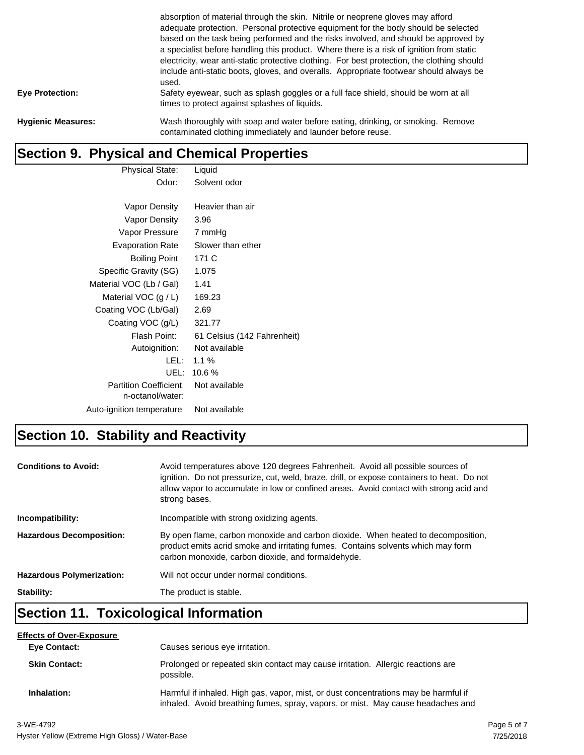|                           | absorption of material through the skin. Nitrile or neoprene gloves may afford<br>adequate protection. Personal protective equipment for the body should be selected<br>based on the task being performed and the risks involved, and should be approved by<br>a specialist before handling this product. Where there is a risk of ignition from static<br>electricity, wear anti-static protective clothing. For best protection, the clothing should<br>include anti-static boots, gloves, and overalls. Appropriate footwear should always be<br>used. |
|---------------------------|-----------------------------------------------------------------------------------------------------------------------------------------------------------------------------------------------------------------------------------------------------------------------------------------------------------------------------------------------------------------------------------------------------------------------------------------------------------------------------------------------------------------------------------------------------------|
| <b>Eye Protection:</b>    | Safety eyewear, such as splash goggles or a full face shield, should be worn at all<br>times to protect against splashes of liquids.                                                                                                                                                                                                                                                                                                                                                                                                                      |
| <b>Hygienic Measures:</b> | Wash thoroughly with soap and water before eating, drinking, or smoking. Remove<br>contaminated clothing immediately and launder before reuse.                                                                                                                                                                                                                                                                                                                                                                                                            |

# **Section 9. Physical and Chemical Properties**

| Physical State:            | Liquid                      |
|----------------------------|-----------------------------|
| Odor:                      | Solvent odor                |
|                            |                             |
| Vapor Density              | Heavier than air            |
| Vapor Density              | 3.96                        |
| Vapor Pressure             | 7 mmHg                      |
| <b>Evaporation Rate</b>    | Slower than ether           |
| <b>Boiling Point</b>       | 171 C                       |
| Specific Gravity (SG)      | 1.075                       |
| Material VOC (Lb / Gal)    | 1.41                        |
| Material VOC $(g / L)$     | 169.23                      |
| Coating VOC (Lb/Gal)       | 2.69                        |
| Coating VOC (g/L)          | 321.77                      |
| Flash Point:               | 61 Celsius (142 Fahrenheit) |
| Autoignition:              | Not available               |
| LEL: I                     | $1.1\%$                     |
| UEL:                       | 10.6%                       |
| Partition Coefficient,     | Not available               |
| n-octanol/water:           |                             |
| Auto-ignition temperature: | Not available               |

## **Section 10. Stability and Reactivity**

| <b>Conditions to Avoid:</b>      | Avoid temperatures above 120 degrees Fahrenheit. Avoid all possible sources of<br>ignition. Do not pressurize, cut, weld, braze, drill, or expose containers to heat. Do not<br>allow vapor to accumulate in low or confined areas. Avoid contact with strong acid and<br>strong bases. |
|----------------------------------|-----------------------------------------------------------------------------------------------------------------------------------------------------------------------------------------------------------------------------------------------------------------------------------------|
| Incompatibility:                 | Incompatible with strong oxidizing agents.                                                                                                                                                                                                                                              |
| <b>Hazardous Decomposition:</b>  | By open flame, carbon monoxide and carbon dioxide. When heated to decomposition,<br>product emits acrid smoke and irritating fumes. Contains solvents which may form<br>carbon monoxide, carbon dioxide, and formaldehyde.                                                              |
| <b>Hazardous Polymerization:</b> | Will not occur under normal conditions.                                                                                                                                                                                                                                                 |
| Stability:                       | The product is stable.                                                                                                                                                                                                                                                                  |

#### **Section 11. Toxicological Information**

| <b>Effects of Over-Exposure</b> |                                                                                                                                                                        |
|---------------------------------|------------------------------------------------------------------------------------------------------------------------------------------------------------------------|
| <b>Eve Contact:</b>             | Causes serious eye irritation.                                                                                                                                         |
| <b>Skin Contact:</b>            | Prolonged or repeated skin contact may cause irritation. Allergic reactions are<br>possible.                                                                           |
| Inhalation:                     | Harmful if inhaled. High gas, vapor, mist, or dust concentrations may be harmful if<br>inhaled. Avoid breathing fumes, spray, vapors, or mist. May cause headaches and |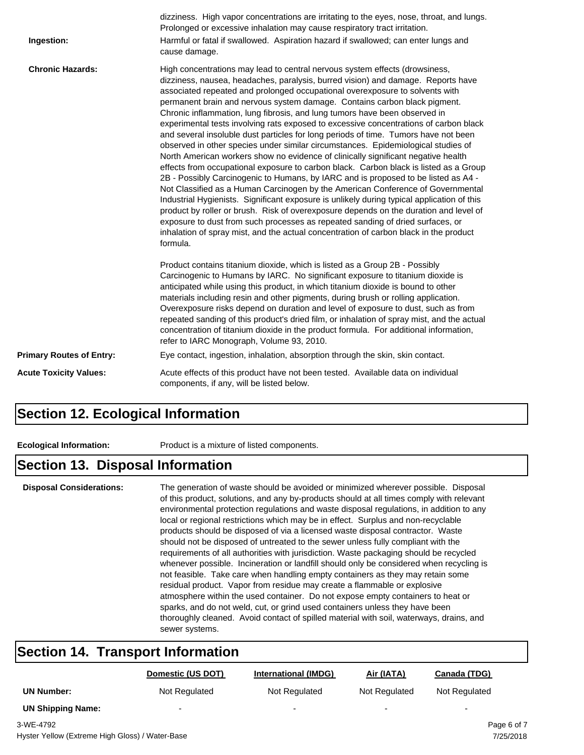| Ingestion:                      | dizziness. High vapor concentrations are irritating to the eyes, nose, throat, and lungs.<br>Prolonged or excessive inhalation may cause respiratory tract irritation.<br>Harmful or fatal if swallowed. Aspiration hazard if swallowed; can enter lungs and<br>cause damage.                                                                                                                                                                                                                                                                                                                                                                                                                                                                                                                                                                                                                                                                                                                                                                                                                                                                                                                                                                                                                                                                                                                                        |
|---------------------------------|----------------------------------------------------------------------------------------------------------------------------------------------------------------------------------------------------------------------------------------------------------------------------------------------------------------------------------------------------------------------------------------------------------------------------------------------------------------------------------------------------------------------------------------------------------------------------------------------------------------------------------------------------------------------------------------------------------------------------------------------------------------------------------------------------------------------------------------------------------------------------------------------------------------------------------------------------------------------------------------------------------------------------------------------------------------------------------------------------------------------------------------------------------------------------------------------------------------------------------------------------------------------------------------------------------------------------------------------------------------------------------------------------------------------|
| <b>Chronic Hazards:</b>         | High concentrations may lead to central nervous system effects (drowsiness,<br>dizziness, nausea, headaches, paralysis, burred vision) and damage. Reports have<br>associated repeated and prolonged occupational overexposure to solvents with<br>permanent brain and nervous system damage. Contains carbon black pigment.<br>Chronic inflammation, lung fibrosis, and lung tumors have been observed in<br>experimental tests involving rats exposed to excessive concentrations of carbon black<br>and several insoluble dust particles for long periods of time. Tumors have not been<br>observed in other species under similar circumstances. Epidemiological studies of<br>North American workers show no evidence of clinically significant negative health<br>effects from occupational exposure to carbon black. Carbon black is listed as a Group<br>2B - Possibly Carcinogenic to Humans, by IARC and is proposed to be listed as A4 -<br>Not Classified as a Human Carcinogen by the American Conference of Governmental<br>Industrial Hygienists. Significant exposure is unlikely during typical application of this<br>product by roller or brush. Risk of overexposure depends on the duration and level of<br>exposure to dust from such processes as repeated sanding of dried surfaces, or<br>inhalation of spray mist, and the actual concentration of carbon black in the product<br>formula. |
|                                 | Product contains titanium dioxide, which is listed as a Group 2B - Possibly<br>Carcinogenic to Humans by IARC. No significant exposure to titanium dioxide is<br>anticipated while using this product, in which titanium dioxide is bound to other<br>materials including resin and other pigments, during brush or rolling application.<br>Overexposure risks depend on duration and level of exposure to dust, such as from<br>repeated sanding of this product's dried film, or inhalation of spray mist, and the actual<br>concentration of titanium dioxide in the product formula. For additional information,<br>refer to IARC Monograph, Volume 93, 2010.                                                                                                                                                                                                                                                                                                                                                                                                                                                                                                                                                                                                                                                                                                                                                    |
| <b>Primary Routes of Entry:</b> | Eye contact, ingestion, inhalation, absorption through the skin, skin contact.                                                                                                                                                                                                                                                                                                                                                                                                                                                                                                                                                                                                                                                                                                                                                                                                                                                                                                                                                                                                                                                                                                                                                                                                                                                                                                                                       |
| <b>Acute Toxicity Values:</b>   | Acute effects of this product have not been tested. Available data on individual<br>components, if any, will be listed below.                                                                                                                                                                                                                                                                                                                                                                                                                                                                                                                                                                                                                                                                                                                                                                                                                                                                                                                                                                                                                                                                                                                                                                                                                                                                                        |

#### **Section 12. Ecological Information**

**Ecological Information:** Product is a mixture of listed components.

#### **Section 13. Disposal Information**

**Disposal Considerations:** The generation of waste should be avoided or minimized wherever possible. Disposal of this product, solutions, and any by-products should at all times comply with relevant environmental protection regulations and waste disposal regulations, in addition to any local or regional restrictions which may be in effect. Surplus and non-recyclable products should be disposed of via a licensed waste disposal contractor. Waste should not be disposed of untreated to the sewer unless fully compliant with the requirements of all authorities with jurisdiction. Waste packaging should be recycled whenever possible. Incineration or landfill should only be considered when recycling is not feasible. Take care when handling empty containers as they may retain some residual product. Vapor from residue may create a flammable or explosive atmosphere within the used container. Do not expose empty containers to heat or sparks, and do not weld, cut, or grind used containers unless they have been thoroughly cleaned. Avoid contact of spilled material with soil, waterways, drains, and sewer systems.

#### **Section 14. Transport Information**

|                          | Domestic (US DOT)        | International (IMDG)     | Air (IATA)    | Canada (TDG)             |
|--------------------------|--------------------------|--------------------------|---------------|--------------------------|
| <b>UN Number:</b>        | Not Regulated            | Not Regulated            | Not Regulated | Not Regulated            |
| <b>UN Shipping Name:</b> | $\overline{\phantom{a}}$ | $\overline{\phantom{a}}$ | -             | $\overline{\phantom{0}}$ |
| 3-WF-4792                |                          |                          |               | Page 6 of 7              |